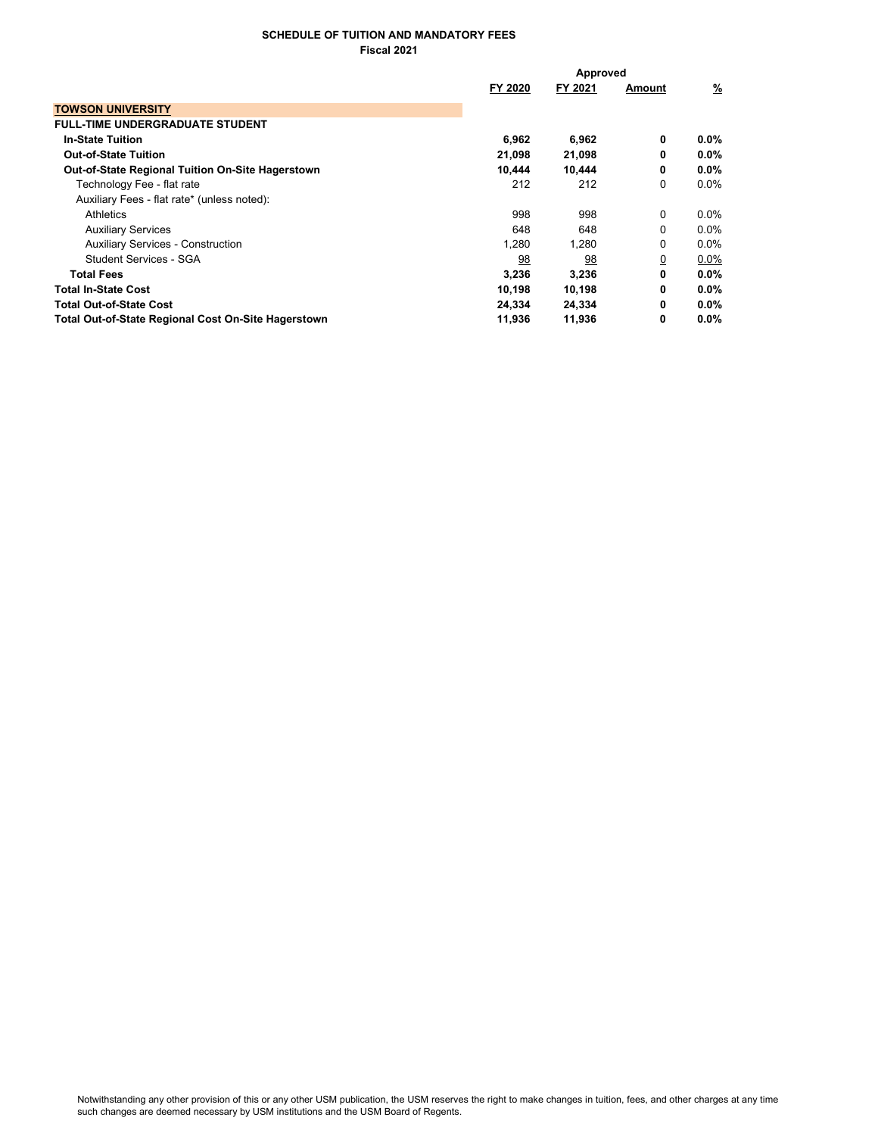## SCHEDULE OF TUITION AND MANDATORY FEES Fiscal 2021

|                                                         | Approved  |         |                |          |
|---------------------------------------------------------|-----------|---------|----------------|----------|
|                                                         | FY 2020   | FY 2021 | Amount         | <u>%</u> |
| <b>TOWSON UNIVERSITY</b>                                |           |         |                |          |
| <b>FULL-TIME UNDERGRADUATE STUDENT</b>                  |           |         |                |          |
| <b>In-State Tuition</b>                                 | 6,962     | 6,962   | 0              | $0.0\%$  |
| <b>Out-of-State Tuition</b>                             | 21,098    | 21,098  | 0              | $0.0\%$  |
| <b>Out-of-State Regional Tuition On-Site Hagerstown</b> | 10,444    | 10,444  | 0              | $0.0\%$  |
| Technology Fee - flat rate                              | 212       | 212     | 0              | $0.0\%$  |
| Auxiliary Fees - flat rate* (unless noted):             |           |         |                |          |
| Athletics                                               | 998       | 998     | 0              | $0.0\%$  |
| <b>Auxiliary Services</b>                               | 648       | 648     | $\Omega$       | $0.0\%$  |
| <b>Auxiliary Services - Construction</b>                | 1,280     | 1,280   | 0              | $0.0\%$  |
| Student Services - SGA                                  | <u>98</u> | 98      | $\overline{0}$ | $0.0\%$  |
| <b>Total Fees</b>                                       | 3,236     | 3,236   | 0              | $0.0\%$  |
| <b>Total In-State Cost</b>                              | 10,198    | 10,198  | 0              | $0.0\%$  |
| <b>Total Out-of-State Cost</b>                          | 24,334    | 24,334  | 0              | $0.0\%$  |
| Total Out-of-State Regional Cost On-Site Hagerstown     | 11,936    | 11,936  | 0              | $0.0\%$  |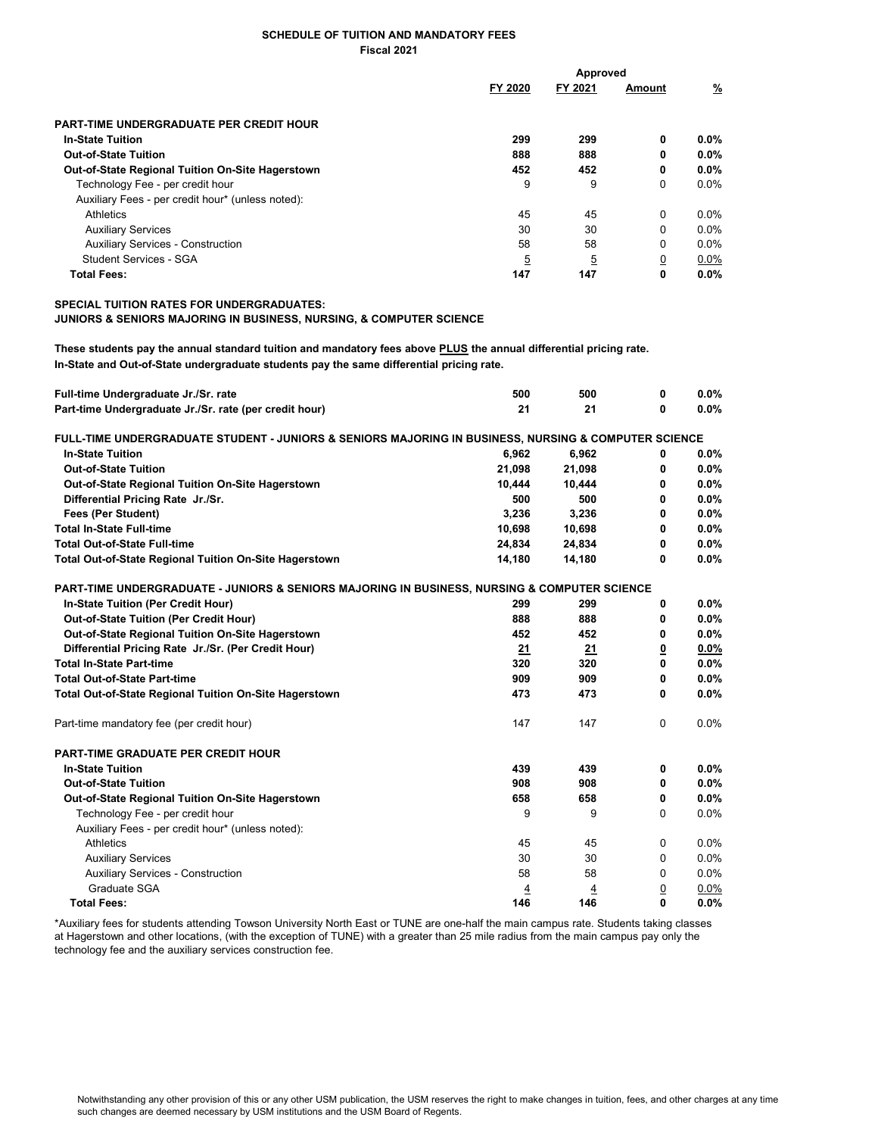## SCHEDULE OF TUITION AND MANDATORY FEES Fiscal 2021

|                                                   | Approved       |         |                |         |
|---------------------------------------------------|----------------|---------|----------------|---------|
|                                                   | FY 2020        | FY 2021 | Amount         | %       |
| PART-TIME UNDERGRADUATE PER CREDIT HOUR           |                |         |                |         |
| <b>In-State Tuition</b>                           | 299            | 299     | 0              | $0.0\%$ |
| <b>Out-of-State Tuition</b>                       | 888            | 888     | 0              | $0.0\%$ |
| Out-of-State Regional Tuition On-Site Hagerstown  | 452            | 452     | 0              | $0.0\%$ |
| Technology Fee - per credit hour                  | 9              | 9       | 0              | $0.0\%$ |
| Auxiliary Fees - per credit hour* (unless noted): |                |         |                |         |
| Athletics                                         | 45             | 45      | 0              | $0.0\%$ |
| <b>Auxiliary Services</b>                         | 30             | 30      | $\Omega$       | 0.0%    |
| <b>Auxiliary Services - Construction</b>          | 58             | 58      | $\Omega$       | $0.0\%$ |
| Student Services - SGA                            | $\overline{5}$ | 5       | $\overline{0}$ | $0.0\%$ |
| <b>Total Fees:</b>                                | 147            | 147     | 0              | $0.0\%$ |

SPECIAL TUITION RATES FOR UNDERGRADUATES:

JUNIORS & SENIORS MAJORING IN BUSINESS, NURSING, & COMPUTER SCIENCE

These students pay the annual standard tuition and mandatory fees above PLUS the annual differential pricing rate. In-State and Out-of-State undergraduate students pay the same differential pricing rate.

| Full-time Undergraduate Jr./Sr. rate                                                                 | 500    | 500      | 0              | 0.0%    |
|------------------------------------------------------------------------------------------------------|--------|----------|----------------|---------|
| Part-time Undergraduate Jr./Sr. rate (per credit hour)                                               | 21     | 21       | 0              | 0.0%    |
| FULL-TIME UNDERGRADUATE STUDENT - JUNIORS & SENIORS MAJORING IN BUSINESS, NURSING & COMPUTER SCIENCE |        |          |                |         |
| <b>In-State Tuition</b>                                                                              | 6,962  | 6,962    | 0              | $0.0\%$ |
| <b>Out-of-State Tuition</b>                                                                          | 21,098 | 21,098   | 0              | $0.0\%$ |
| Out-of-State Regional Tuition On-Site Hagerstown                                                     | 10,444 | 10,444   | 0              | $0.0\%$ |
| Differential Pricing Rate Jr./Sr.                                                                    | 500    | 500      | 0              | 0.0%    |
| Fees (Per Student)                                                                                   | 3,236  | 3,236    | 0              | 0.0%    |
| <b>Total In-State Full-time</b>                                                                      | 10,698 | 10,698   | 0              | 0.0%    |
| <b>Total Out-of-State Full-time</b>                                                                  | 24,834 | 24,834   | 0              | $0.0\%$ |
| Total Out-of-State Regional Tuition On-Site Hagerstown                                               | 14,180 | 14,180   | 0              | 0.0%    |
| PART-TIME UNDERGRADUATE - JUNIORS & SENIORS MAJORING IN BUSINESS, NURSING & COMPUTER SCIENCE         |        |          |                |         |
| In-State Tuition (Per Credit Hour)                                                                   | 299    | 299      | 0              | $0.0\%$ |
| Out-of-State Tuition (Per Credit Hour)                                                               | 888    | 888      | 0              | $0.0\%$ |
| Out-of-State Regional Tuition On-Site Hagerstown                                                     | 452    | 452      | 0              | 0.0%    |
| Differential Pricing Rate Jr./Sr. (Per Credit Hour)                                                  | 21     | 21       | <u>0</u>       | $0.0\%$ |
| <b>Total In-State Part-time</b>                                                                      | 320    | 320      | 0              | 0.0%    |
| <b>Total Out-of-State Part-time</b>                                                                  | 909    | 909      | 0              | 0.0%    |
| <b>Total Out-of-State Regional Tuition On-Site Hagerstown</b>                                        | 473    | 473      | 0              | 0.0%    |
| Part-time mandatory fee (per credit hour)                                                            | 147    | 147      | $\Omega$       | 0.0%    |
| <b>PART-TIME GRADUATE PER CREDIT HOUR</b>                                                            |        |          |                |         |
| <b>In-State Tuition</b>                                                                              | 439    | 439      | 0              | 0.0%    |
| <b>Out-of-State Tuition</b>                                                                          | 908    | 908      | 0              | $0.0\%$ |
| Out-of-State Regional Tuition On-Site Hagerstown                                                     | 658    | 658      | 0              | 0.0%    |
| Technology Fee - per credit hour                                                                     | 9      | 9        | $\Omega$       | 0.0%    |
| Auxiliary Fees - per credit hour* (unless noted):                                                    |        |          |                |         |
| Athletics                                                                                            | 45     | 45       | $\Omega$       | 0.0%    |
| <b>Auxiliary Services</b>                                                                            | 30     | 30       | 0              | 0.0%    |
| <b>Auxiliary Services - Construction</b>                                                             | 58     | 58       | 0              | 0.0%    |
| Graduate SGA                                                                                         | 4      | <u>4</u> | $\overline{0}$ | 0.0%    |
| <b>Total Fees:</b>                                                                                   | 146    | 146      | 0              | 0.0%    |

\*Auxiliary fees for students attending Towson University North East or TUNE are one-half the main campus rate. Students taking classes at Hagerstown and other locations, (with the exception of TUNE) with a greater than 25 mile radius from the main campus pay only the technology fee and the auxiliary services construction fee.